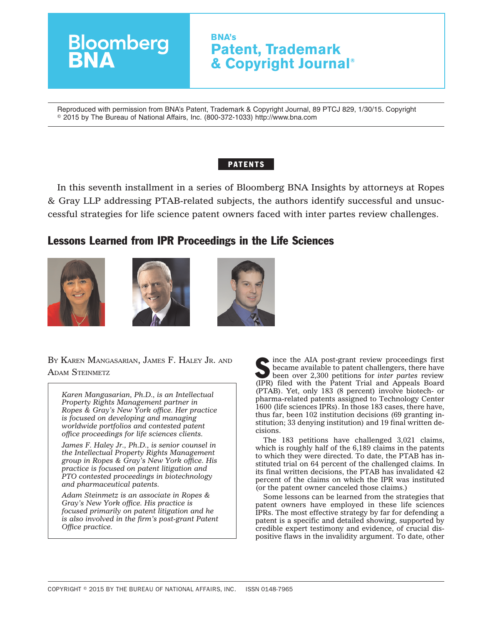

Reproduced with permission from BNA's Patent, Trademark & Copyright Journal, 89 PTCJ 829, 1/30/15. Copyright © 2015 by The Bureau of National Affairs, Inc. (800-372-1033) http://www.bna.com

## **PATENTS**

In this seventh installment in a series of Bloomberg BNA Insights by attorneys at Ropes & Gray LLP addressing PTAB-related subjects, the authors identify successful and unsuccessful strategies for life science patent owners faced with inter partes review challenges.

# Lessons Learned from IPR Proceedings in the Life Sciences







BY KAREN MANGASARIAN, JAMES F. HALEY JR. AND

*Karen Mangasarian, Ph.D., is an Intellectual Property Rights Management partner in Ropes & Gray's New York office. Her practice is focused on developing and managing worldwide portfolios and contested patent office proceedings for life sciences clients.*

*James F. Haley Jr., Ph.D., is senior counsel in the Intellectual Property Rights Management group in Ropes & Gray's New York office. His practice is focused on patent litigation and PTO contested proceedings in biotechnology and pharmaceutical patents.*

*Adam Steinmetz is an associate in Ropes & Gray's New York office. His practice is focused primarily on patent litigation and he is also involved in the firm's post-grant Patent Office practice.*

BY KAREN MANGASARIAN, JAMES F. HALEY JR. AND STEINMETZ SECOND STEINMETZ SERVICE TO A POST-GRAND STEINMETZ became available to patent challengers, there have been over 2,300 petitions for *inter partes* review (IPR) filed with the Patent Trial and Appeals Board (PTAB). Yet, only 183 (8 percent) involve biotech- or pharma-related patents assigned to Technology Center 1600 (life sciences IPRs). In those 183 cases, there have, thus far, been 102 institution decisions (69 granting institution; 33 denying institution) and 19 final written decisions.

> The 183 petitions have challenged 3,021 claims, which is roughly half of the 6,189 claims in the patents to which they were directed. To date, the PTAB has instituted trial on 64 percent of the challenged claims. In its final written decisions, the PTAB has invalidated 42 percent of the claims on which the IPR was instituted (or the patent owner canceled those claims.)

> Some lessons can be learned from the strategies that patent owners have employed in these life sciences IPRs. The most effective strategy by far for defending a patent is a specific and detailed showing, supported by credible expert testimony and evidence, of crucial dispositive flaws in the invalidity argument. To date, other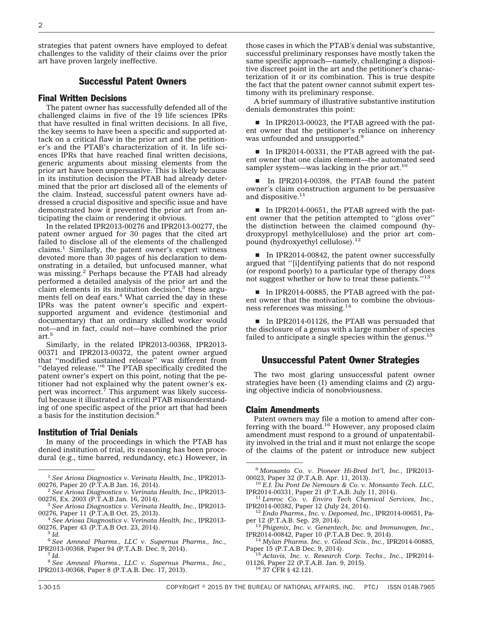strategies that patent owners have employed to defeat challenges to the validity of their claims over the prior art have proven largely ineffective.

### Successful Patent Owners

#### Final Written Decisions

The patent owner has successfully defended all of the challenged claims in five of the 19 life sciences IPRs that have resulted in final written decisions. In all five, the key seems to have been a specific and supported attack on a critical flaw in the prior art and the petitioner's and the PTAB's characterization of it. In life sciences IPRs that have reached final written decisions, generic arguments about missing elements from the prior art have been unpersuasive. This is likely because in its institution decision the PTAB had already determined that the prior art disclosed all of the elements of the claim. Instead, successful patent owners have addressed a crucial dispositive and specific issue and have demonstrated how it prevented the prior art from anticipating the claim or rendering it obvious.

In the related IPR2013-00276 and IPR2013-00277, the patent owner argued for 30 pages that the cited art failed to disclose all of the elements of the challenged claims.<sup>1</sup> Similarly, the patent owner's expert witness devoted more than 30 pages of his declaration to demonstrating in a detailed, but unfocused manner, what was missing.2 Perhaps because the PTAB had already performed a detailed analysis of the prior art and the claim elements in its institution decision, $3$  these arguments fell on deaf ears.<sup>4</sup> What carried the day in these IPRs was the patent owner's specific and expertsupported argument and evidence (testimonial and documentary) that an ordinary skilled worker would not—and in fact, *could* not—have combined the prior art. $^5\,$ 

Similarly, in the related IPR2013-00368, IPR2013- 00371 and IPR2013-00372, the patent owner argued that ''modified sustained release'' was different from ''delayed release.''6 The PTAB specifically credited the patent owner's expert on this point, noting that the petitioner had not explained why the patent owner's expert was incorrect.<sup>7</sup> This argument was likely successful because it illustrated a critical PTAB misunderstanding of one specific aspect of the prior art that had been a basis for the institution decision.8

#### Institution of Trial Denials

In many of the proceedings in which the PTAB has denied institution of trial, its reasoning has been procedural (e.g., time barred, redundancy, etc.) However, in those cases in which the PTAB's denial was substantive, successful preliminary responses have mostly taken the same specific approach—namely, challenging a dispositive discreet point in the art and the petitioner's characterization of it or its combination. This is true despite the fact that the patent owner cannot submit expert testimony with its preliminary response.

A brief summary of illustrative substantive institution denials demonstrates this point:

In IPR2013-00023, the PTAB agreed with the patent owner that the petitioner's reliance on inherency was unfounded and unsupported.<sup>9</sup>

In IPR2014-00331, the PTAB agreed with the patent owner that one claim element—the automated seed sampler system—was lacking in the prior art. $10$ 

In IPR2014-00398, the PTAB found the patent owner's claim construction argument to be persuasive and dispositive.<sup>11</sup>

■ In IPR2014-00651, the PTAB agreed with the patent owner that the petition attempted to ''gloss over'' the distinction between the claimed compound (hydroxypropyl methylcellulose) and the prior art compound (hydroxyethyl cellulose).<sup>12</sup>

 $\blacksquare$  In IPR2014-00842, the patent owner successfully argued that ''[i]dentifying patients that do not respond (or respond poorly) to a particular type of therapy does not suggest whether or how to treat these patients.''13

■ In IPR2014-00885, the PTAB agreed with the patent owner that the motivation to combine the obviousness references was missing.14

In IPR2014-01126, the PTAB was persuaded that the disclosure of a genus with a large number of species failed to anticipate a single species within the genus. $15$ 

## Unsuccessful Patent Owner Strategies

The two most glaring unsuccessful patent owner strategies have been (1) amending claims and (2) arguing objective indicia of nonobviousness.

#### Claim Amendments

Patent owners may file a motion to amend after conferring with the board.<sup>16</sup> However, any proposed claim amendment must respond to a ground of unpatentability involved in the trial and it must not enlarge the scope of the claims of the patent or introduce new subject

<sup>1</sup> *See Ariosa Diagnostics v. Verinata Health, Inc.*, IPR2013-

<sup>&</sup>lt;sup>2</sup> See Ariosa Diagnostics v. Verinata Health, Inc., IPR2013-00276, Ex. 2003 (P.T.A.B Jan. 16, 2014).

<sup>&</sup>lt;sup>3</sup> See Ariosa Diagnostics v. Verinata Health, Inc., IPR2013-00276, Paper 11 (P.T.A.B Oct. 25, 2013).

<sup>&</sup>lt;sup>4</sup> See Ariosa Diagnostics v. Verinata Health, Inc., IPR2013-00276, Paper 43 (P.T.A.B Oct. 23, 2014). <sup>5</sup> *Id.*

<sup>6</sup> *See Amneal Pharms., LLC v. Supernus Pharms., Inc.*, IPR2013-00368, Paper 94 (P.T.A.B. Dec. 9, 2014). <sup>7</sup> *Id.*

<sup>8</sup> *See Amneal Pharms., LLC v. Supernus Pharms., Inc.*, IPR2013-00368, Paper 8 (P.T.A.B. Dec. 17, 2013).

<sup>9</sup> *Monsanto Co. v. Pioneer Hi-Bred Int'l, Inc.*, IPR2013-

<sup>&</sup>lt;sup>10</sup> E.I. Du Pont De Nemours & Co. v. Monsanto Tech. LLC, IPR2014-00331, Paper 21 (P.T.A.B. July 11, 2014).

<sup>&</sup>lt;sup>11</sup> Lenroc Co. v. Enviro Tech Chemical Services, Inc., IPR2014-00382, Paper 12 (July 24, 2014).

<sup>&</sup>lt;sup>12</sup> Endo Pharms., Inc. v. Depomed, Inc., IPR2014-00651, Paper 12 (P.T.A.B. Sep. 29, 2014).

<sup>&</sup>lt;sup>13</sup> Phigenix, Inc. v. Genentech, Inc. and Immunogen, Inc., IPR2014-00842, Paper 10 (P.T.A.B Dec. 9, 2014).

<sup>&</sup>lt;sup>14</sup> Mylan Pharms. Inc. v. Gilead Scis., Inc., IPR2014-00885, Paper 15 (P.T.A.B Dec. 9, 2014). <sup>15</sup> *Actavis, Inc. v. Research Corp. Techs., Inc.*, IPR2014-

<sup>01126,</sup> Paper 22 (P.T.A.B. Jan. 9, 2015).<br><sup>16</sup> 37 CFR § 42.121.